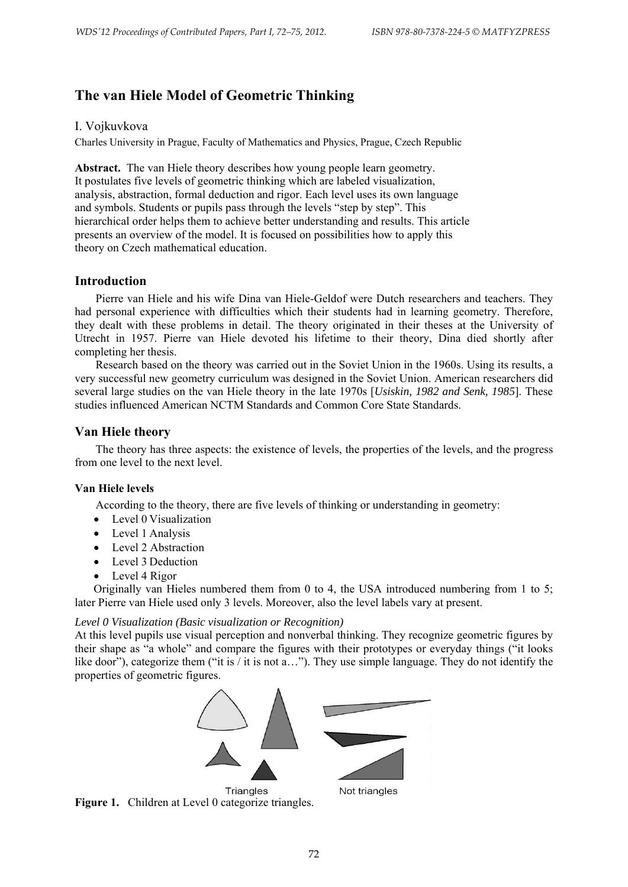# **The van Hiele Model of Geometric Thinking**

## I. Vojkuvkova

Charles University in Prague, Faculty of Mathematics and Physics, Prague, Czech Republic

Abstract. The van Hiele theory describes how young people learn geometry. It postulates five levels of geometric thinking which are labeled visualization, analysis, abstraction, formal deduction and rigor. Each level uses its own language and symbols. Students or pupils pass through the levels "step by step". This hierarchical order helps them to achieve better understanding and results. This article presents an overview of the model. It is focused on possibilities how to apply this theory on Czech mathematical education.

# **Introduction**

Pierre van Hiele and his wife Dina van Hiele-Geldof were Dutch researchers and teachers. They had personal experience with difficulties which their students had in learning geometry. Therefore, they dealt with these problems in detail. The theory originated in their theses at the University of Utrecht in 1957. Pierre van Hiele devoted his lifetime to their theory, Dina died shortly after completing her thesis.

Research based on the theory was carried out in the Soviet Union in the 1960s. Using its results, a very successful new geometry curriculum was designed in the Soviet Union. American researchers did several large studies on the van Hiele theory in the late 1970s [*Usiskin, 1982 and Senk, 1985*]. These studies influenced American NCTM Standards and Common Core State Standards.

# **Van Hiele theory**

The theory has three aspects: the existence of levels, the properties of the levels, and the progress from one level to the next level.

### **Van Hiele levels**

According to the theory, there are five levels of thinking or understanding in geometry:

- Level 0 Visualization
- Level 1 Analysis
- Level 2 Abstraction
- Level 3 Deduction
- Level 4 Rigor

Originally van Hieles numbered them from 0 to 4, the USA introduced numbering from 1 to 5; later Pierre van Hiele used only 3 levels. Moreover, also the level labels vary at present.

### *Level 0 Visualization (Basic visualization or Recognition)*

At this level pupils use visual perception and nonverbal thinking. They recognize geometric figures by their shape as "a whole" and compare the figures with their prototypes or everyday things ("it looks like door"), categorize them ("it is / it is not a..."). They use simple language. They do not identify the properties of geometric figures.

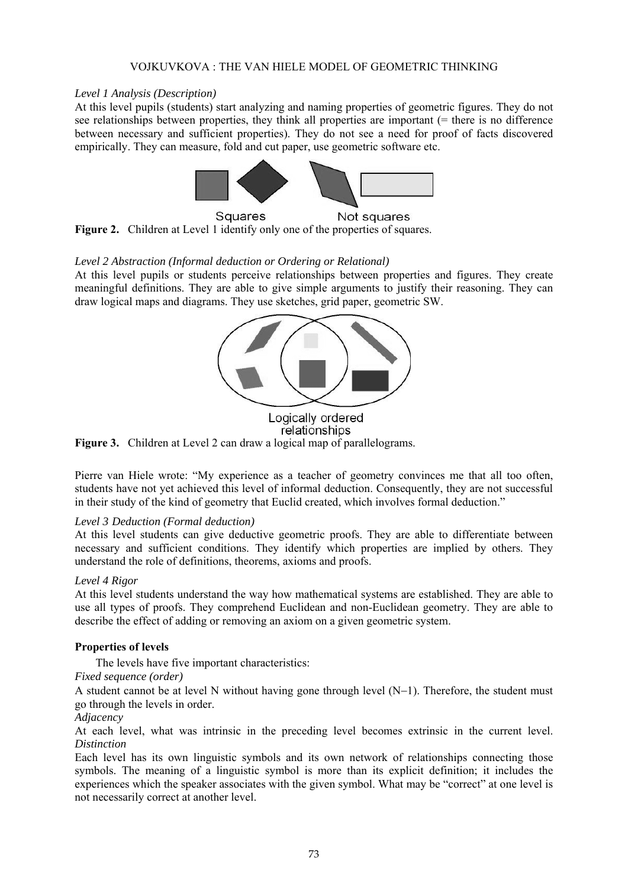## VOJKUVKOVA : THE VAN HIELE MODEL OF GEOMETRIC THINKING

## *Level 1 Analysis (Description)*

At this level pupils (students) start analyzing and naming properties of geometric figures. They do not see relationships between properties, they think all properties are important (= there is no difference between necessary and sufficient properties). They do not see a need for proof of facts discovered empirically. They can measure, fold and cut paper, use geometric software etc.



Figure 2. Children at Level 1 identify only one of the properties of squares.

# *Level 2 Abstraction (Informal deduction or Ordering or Relational)*

At this level pupils or students perceive relationships between properties and figures. They create meaningful definitions. They are able to give simple arguments to justify their reasoning. They can draw logical maps and diagrams. They use sketches, grid paper, geometric SW.



Logically ordered relationships **Figure 3.** Children at Level 2 can draw a logical map of parallelograms.

Pierre van Hiele wrote: "My experience as a teacher of geometry convinces me that all too often, students have not yet achieved this level of informal deduction. Consequently, they are not successful in their study of the kind of geometry that Euclid created, which involves formal deduction."

### *Level 3 Deduction (Formal deduction)*

At this level students can give deductive geometric proofs. They are able to differentiate between necessary and sufficient conditions. They identify which properties are implied by others. They understand the role of definitions, theorems, axioms and proofs.

### *Level 4 Rigor*

At this level students understand the way how mathematical systems are established. They are able to use all types of proofs. They comprehend Euclidean and non-Euclidean geometry. They are able to describe the effect of adding or removing an axiom on a given geometric system.

# **Properties of levels**

The levels have five important characteristics:

## *Fixed sequence (order)*

A student cannot be at level N without having gone through level (N−1). Therefore, the student must go through the levels in order.

### *Adjacency*

At each level, what was intrinsic in the preceding level becomes extrinsic in the current level. *Distinction*

Each level has its own linguistic symbols and its own network of relationships connecting those symbols. The meaning of a linguistic symbol is more than its explicit definition; it includes the experiences which the speaker associates with the given symbol. What may be "correct" at one level is not necessarily correct at another level.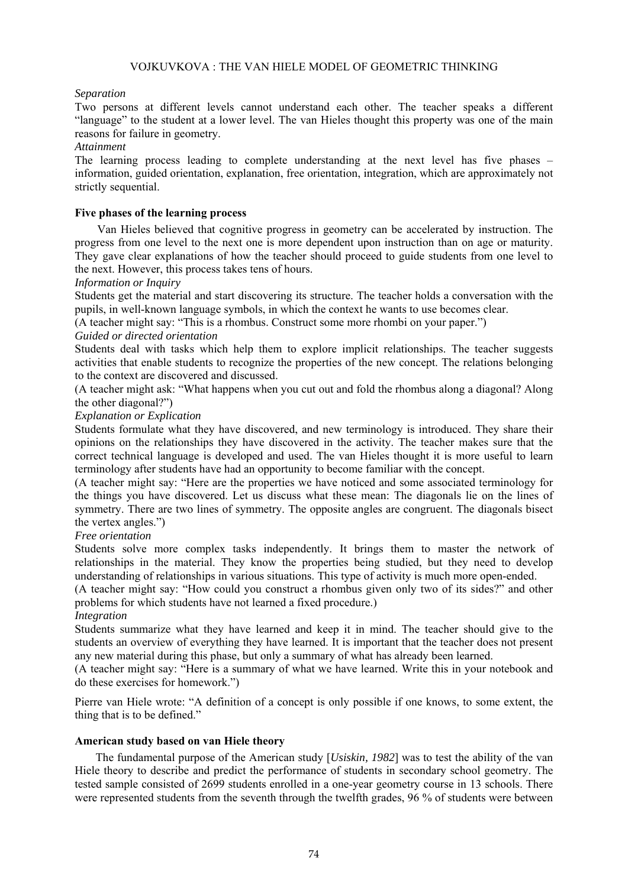## VOJKUVKOVA : THE VAN HIELE MODEL OF GEOMETRIC THINKING

### *Separation*

Two persons at different levels cannot understand each other. The teacher speaks a different "language" to the student at a lower level. The van Hieles thought this property was one of the main reasons for failure in geometry.

#### *Attainment*

The learning process leading to complete understanding at the next level has five phases – information, guided orientation, explanation, free orientation, integration, which are approximately not strictly sequential.

### **Five phases of the learning process**

Van Hieles believed that cognitive progress in geometry can be accelerated by instruction. The progress from one level to the next one is more dependent upon instruction than on age or maturity. They gave clear explanations of how the teacher should proceed to guide students from one level to the next. However, this process takes tens of hours.

#### *Information or Inquiry*

Students get the material and start discovering its structure. The teacher holds a conversation with the pupils, in well-known language symbols, in which the context he wants to use becomes clear.

(A teacher might say: "This is a rhombus. Construct some more rhombi on your paper.")

### *Guided or directed orientation*

Students deal with tasks which help them to explore implicit relationships. The teacher suggests activities that enable students to recognize the properties of the new concept. The relations belonging to the context are discovered and discussed.

(A teacher might ask: "What happens when you cut out and fold the rhombus along a diagonal? Along the other diagonal?")

#### *Explanation or Explication*

Students formulate what they have discovered, and new terminology is introduced. They share their opinions on the relationships they have discovered in the activity. The teacher makes sure that the correct technical language is developed and used. The van Hieles thought it is more useful to learn terminology after students have had an opportunity to become familiar with the concept.

(A teacher might say: "Here are the properties we have noticed and some associated terminology for the things you have discovered. Let us discuss what these mean: The diagonals lie on the lines of symmetry. There are two lines of symmetry. The opposite angles are congruent. The diagonals bisect the vertex angles.")

### *Free orientation*

Students solve more complex tasks independently. It brings them to master the network of relationships in the material. They know the properties being studied, but they need to develop understanding of relationships in various situations. This type of activity is much more open-ended.

(A teacher might say: "How could you construct a rhombus given only two of its sides?" and other problems for which students have not learned a fixed procedure.)

### *Integration*

Students summarize what they have learned and keep it in mind. The teacher should give to the students an overview of everything they have learned. It is important that the teacher does not present any new material during this phase, but only a summary of what has already been learned.

(A teacher might say: "Here is a summary of what we have learned. Write this in your notebook and do these exercises for homework.")

Pierre van Hiele wrote: "A definition of a concept is only possible if one knows, to some extent, the thing that is to be defined."

#### **American study based on van Hiele theory**

The fundamental purpose of the American study [*Usiskin, 1982*] was to test the ability of the van Hiele theory to describe and predict the performance of students in secondary school geometry. The tested sample consisted of 2699 students enrolled in a one-year geometry course in 13 schools. There were represented students from the seventh through the twelfth grades, 96 % of students were between